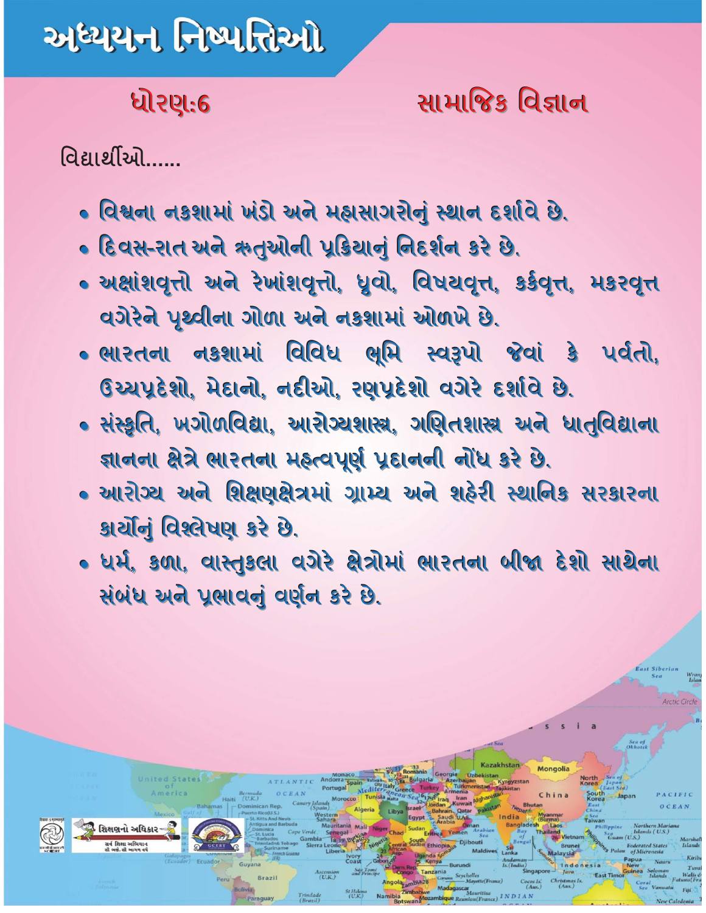# અધ્યયન નિષ્પત્તિઓ

#### ધોરણ:6

#### સામાજિક વિજ્ઞાન

વિદ્યાર્થીઓ......

શિક્ષણનો અધિકા

- વિશ્વના નકશામાં ખંડો અને મહાસાગરોનું સ્થાન દર્શાવે છે.
- દિવસ-રાત અને ઋતુઓની પૂકિચાનું નિદર્શન કરે છે.
- અક્ષાંશવૃત્તો અને રેખાંશવૃત્તો, ધ્રુવો, વિષયવૃત્ત, કર્કવૃત્ત, મકરવૃત્ત વગેરેને પૃથ્વીના ગોળા અને નકશામાં ઓળખે છે.
- ભારતના નકશામાં વિવિધ ભૂમિ સ્વરૂપો જેવાં કે પર્વતો, ઉચ્ચપ્રદેશો, મેદાનો, નદીઓ, રણપ્રદેશો વગેરે દર્શાવે છે.
- સંસ્કૃતિ, ખગોળવિદ્યા, આરોગ્યશાસ્ત્ર, ગણિતશાસ્ત્ર અને ધાતુવિદ્યાના જ્ઞાનના ક્ષેત્રે ભારતના મહ્ત્વપૂર્ણ પ્રદાનની નોંધ કરે છે.
- આરોગ્ય અને શિક્ષણક્ષેત્રમાં ગ્રામ્ય અને શહેરી સ્થાનિક સરકારના કાર્યોનું વિશ્લેષણ કરે છે.
- ધર્મ, કળા, વાસ્તુકલા વગેરે ક્ષેત્રોમાં ભારતના બીજા દેશો સાથેના સંબંધ અને પ્રભાવનું વર્ણન કરે છે.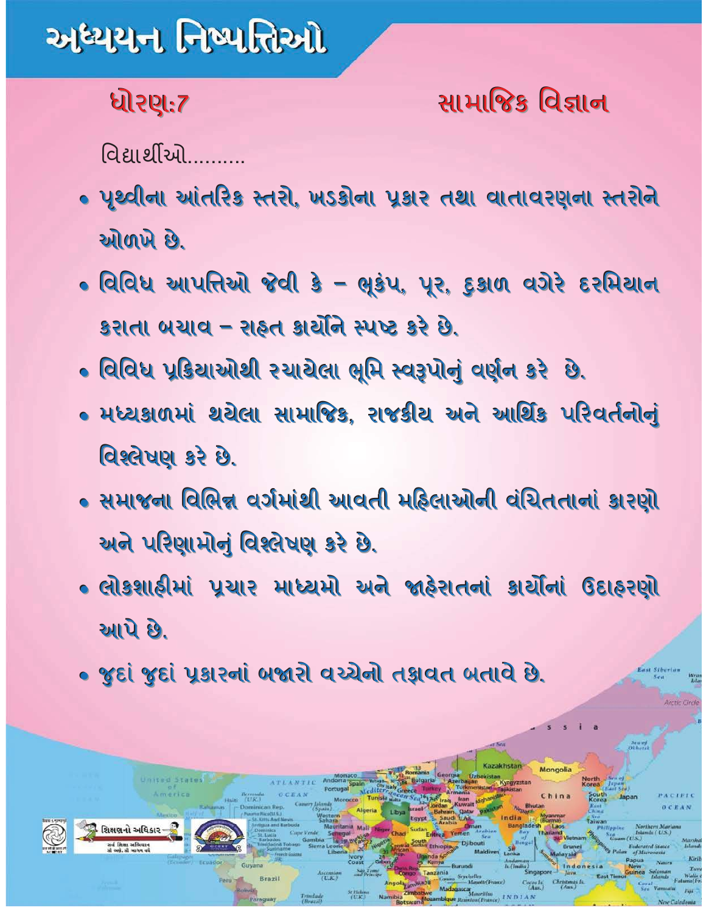# અધ્યયન નિષ્પત્તિઓ

### ધોરણ:7

## સામાજિક વિજ્ઞાન

विद्यार्थीઓ

- પૃથ્વીના આંતરિક સ્તરો, ખડકોના પ્રકાર તથા વાતાવરણના સ્તરોને ઓળખે છે.
- વિવિધ આપત્તિઓ જેવી કે ભૂકંપ, પૂર, દુકાળ વગેરે દરમિયાન કરાતા બચાવ – રાહ્ન કાર્ચીને સ્પષ્ટ કરે છે.
- વિવિધ પ્રક્રિયાઓથી રચાયેલા ભૂમિ સ્વરૂપોનું વર્ણન કરે છે.
- મધ્યકાળમાં થયેલા સામાજિક, રાજકીય અને આર્થિક પરિવર્તનોનું વિશ્લેષણ કરે છે.
- સમાજના વિભિન્ન વર્ગમાંથી આવતી મહિલાઓની વંચિતતાનાં કારણો અને પરિણામોનું વિશ્લેષણ કરે છે.
- લોકશાઠીમાં પ્રચાર માધ્યમો અને જાહેરાતનાં કાર્યોનાં ઉદાહરણો આપે છે.
- જુદાં જુદાં પૂકારનાં બજારી વચ્ચેની તજ્ઞવત બતાવે છે.